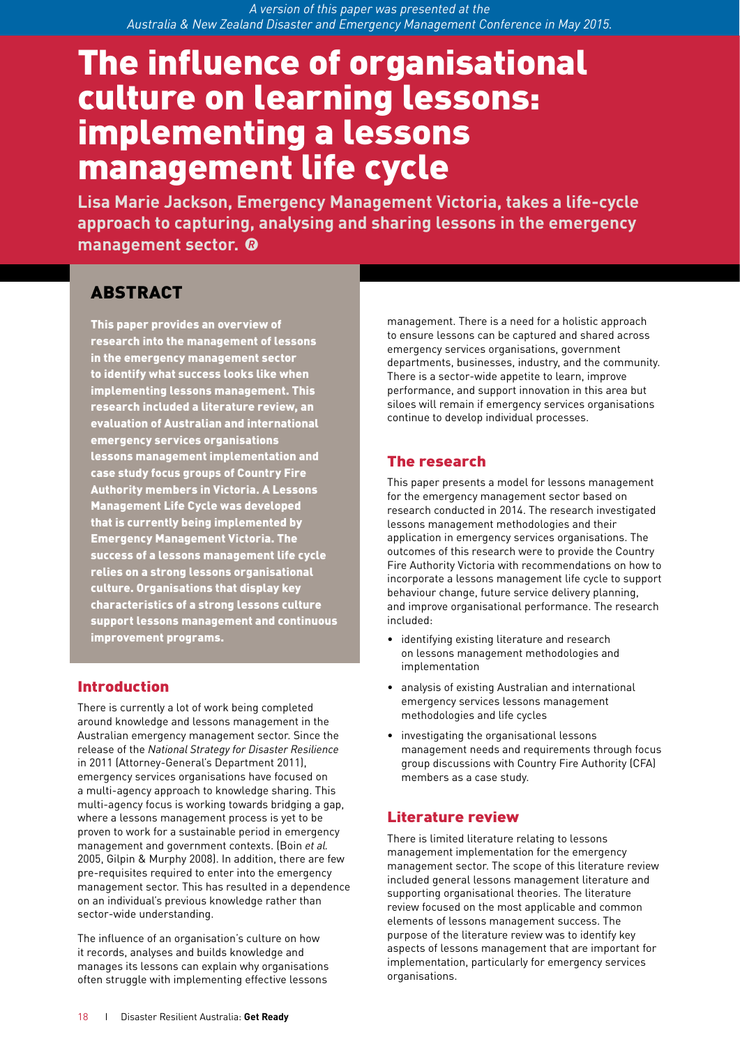*A version of this paper was presented at the Australia & New Zealand Disaster and Emergency Management Conference in May 2015.*

# The influence of organisational culture on learning lessons: implementing a lessons management life cycle

**Lisa Marie Jackson, Emergency Management Victoria, takes a life-cycle approach to capturing, analysing and sharing lessons in the emergency management sector. @** 

# ABSTRACT

This paper provides an overview of research into the management of lessons in the emergency management sector to identify what success looks like when implementing lessons management. This research included a literature review, an evaluation of Australian and international emergency services organisations lessons management implementation and case study focus groups of Country Fire Authority members in Victoria. A Lessons Management Life Cycle was developed that is currently being implemented by Emergency Management Victoria. The success of a lessons management life cycle relies on a strong lessons organisational culture. Organisations that display key characteristics of a strong lessons culture support lessons management and continuous improvement programs.

# Introduction

There is currently a lot of work being completed around knowledge and lessons management in the Australian emergency management sector. Since the release of the *National Strategy for Disaster Resilience* in 2011 (Attorney-General's Department 2011), emergency services organisations have focused on a multi-agency approach to knowledge sharing. This multi-agency focus is working towards bridging a gap, where a lessons management process is yet to be proven to work for a sustainable period in emergency management and government contexts. (Boin *et al.*  2005, Gilpin & Murphy 2008). In addition, there are few pre-requisites required to enter into the emergency management sector. This has resulted in a dependence on an individual's previous knowledge rather than sector-wide understanding.

The influence of an organisation's culture on how it records, analyses and builds knowledge and manages its lessons can explain why organisations often struggle with implementing effective lessons

management. There is a need for a holistic approach to ensure lessons can be captured and shared across emergency services organisations, government departments, businesses, industry, and the community. There is a sector-wide appetite to learn, improve performance, and support innovation in this area but siloes will remain if emergency services organisations continue to develop individual processes.

# The research

This paper presents a model for lessons management for the emergency management sector based on research conducted in 2014. The research investigated lessons management methodologies and their application in emergency services organisations. The outcomes of this research were to provide the Country Fire Authority Victoria with recommendations on how to incorporate a lessons management life cycle to support behaviour change, future service delivery planning, and improve organisational performance. The research included:

- identifying existing literature and research on lessons management methodologies and implementation
- analysis of existing Australian and international emergency services lessons management methodologies and life cycles
- investigating the organisational lessons management needs and requirements through focus group discussions with Country Fire Authority (CFA) members as a case study.

#### Literature review

There is limited literature relating to lessons management implementation for the emergency management sector. The scope of this literature review included general lessons management literature and supporting organisational theories. The literature review focused on the most applicable and common elements of lessons management success. The purpose of the literature review was to identify key aspects of lessons management that are important for implementation, particularly for emergency services organisations.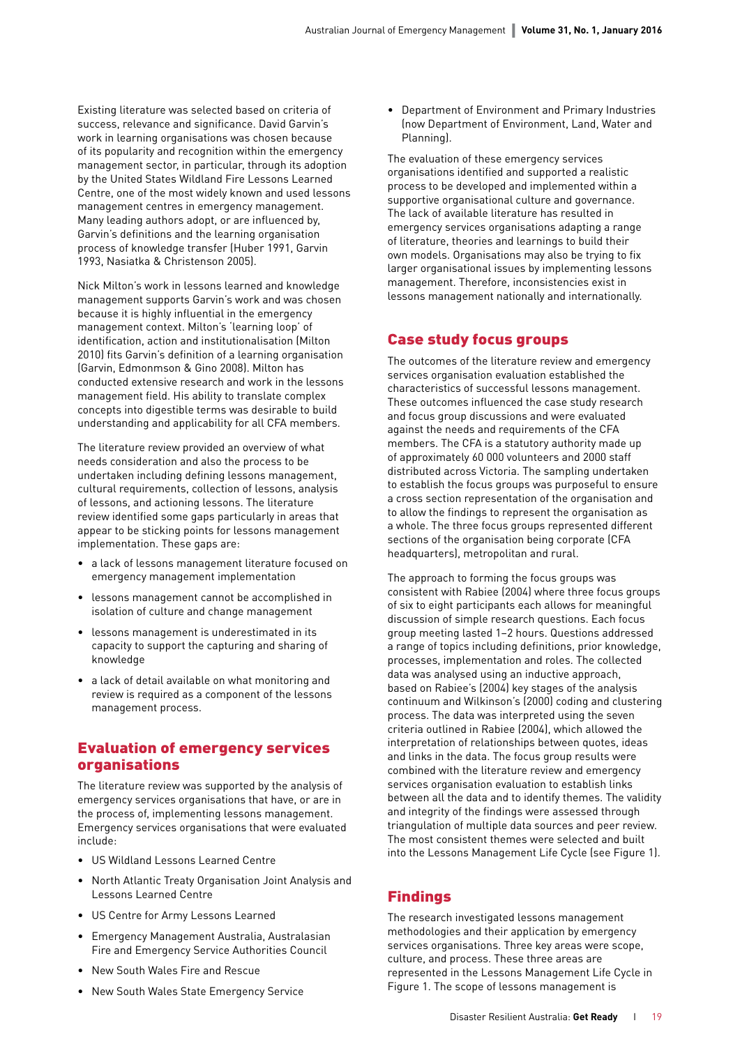Existing literature was selected based on criteria of success, relevance and significance. David Garvin's work in learning organisations was chosen because of its popularity and recognition within the emergency management sector, in particular, through its adoption by the United States Wildland Fire Lessons Learned Centre, one of the most widely known and used lessons management centres in emergency management. Many leading authors adopt, or are influenced by, Garvin's definitions and the learning organisation process of knowledge transfer (Huber 1991, Garvin 1993, Nasiatka & Christenson 2005).

Nick Milton's work in lessons learned and knowledge management supports Garvin's work and was chosen because it is highly influential in the emergency management context. Milton's 'learning loop' of identification, action and institutionalisation (Milton 2010) fits Garvin's definition of a learning organisation (Garvin, Edmonmson & Gino 2008). Milton has conducted extensive research and work in the lessons management field. His ability to translate complex concepts into digestible terms was desirable to build understanding and applicability for all CFA members.

The literature review provided an overview of what needs consideration and also the process to be undertaken including defining lessons management, cultural requirements, collection of lessons, analysis of lessons, and actioning lessons. The literature review identified some gaps particularly in areas that appear to be sticking points for lessons management implementation. These gaps are:

- a lack of lessons management literature focused on emergency management implementation
- lessons management cannot be accomplished in isolation of culture and change management
- lessons management is underestimated in its capacity to support the capturing and sharing of knowledge
- a lack of detail available on what monitoring and review is required as a component of the lessons management process.

#### Evaluation of emergency services organisations

The literature review was supported by the analysis of emergency services organisations that have, or are in the process of, implementing lessons management. Emergency services organisations that were evaluated include:

- US Wildland Lessons Learned Centre
- North Atlantic Treaty Organisation Joint Analysis and Lessons Learned Centre
- US Centre for Army Lessons Learned
- Emergency Management Australia, Australasian Fire and Emergency Service Authorities Council
- New South Wales Fire and Rescue
- New South Wales State Emergency Service

• Department of Environment and Primary Industries (now Department of Environment, Land, Water and Planning).

The evaluation of these emergency services organisations identified and supported a realistic process to be developed and implemented within a supportive organisational culture and governance. The lack of available literature has resulted in emergency services organisations adapting a range of literature, theories and learnings to build their own models. Organisations may also be trying to fix larger organisational issues by implementing lessons management. Therefore, inconsistencies exist in lessons management nationally and internationally.

#### Case study focus groups

The outcomes of the literature review and emergency services organisation evaluation established the characteristics of successful lessons management. These outcomes influenced the case study research and focus group discussions and were evaluated against the needs and requirements of the CFA members. The CFA is a statutory authority made up of approximately 60 000 volunteers and 2000 staff distributed across Victoria. The sampling undertaken to establish the focus groups was purposeful to ensure a cross section representation of the organisation and to allow the findings to represent the organisation as a whole. The three focus groups represented different sections of the organisation being corporate (CFA headquarters), metropolitan and rural.

The approach to forming the focus groups was consistent with Rabiee (2004) where three focus groups of six to eight participants each allows for meaningful discussion of simple research questions. Each focus group meeting lasted 1–2 hours. Questions addressed a range of topics including definitions, prior knowledge, processes, implementation and roles. The collected data was analysed using an inductive approach, based on Rabiee's (2004) key stages of the analysis continuum and Wilkinson's (2000) coding and clustering process. The data was interpreted using the seven criteria outlined in Rabiee (2004), which allowed the interpretation of relationships between quotes, ideas and links in the data. The focus group results were combined with the literature review and emergency services organisation evaluation to establish links between all the data and to identify themes. The validity and integrity of the findings were assessed through triangulation of multiple data sources and peer review. The most consistent themes were selected and built into the Lessons Management Life Cycle (see Figure 1).

## Findings

The research investigated lessons management methodologies and their application by emergency services organisations. Three key areas were scope, culture, and process. These three areas are represented in the Lessons Management Life Cycle in Figure 1. The scope of lessons management is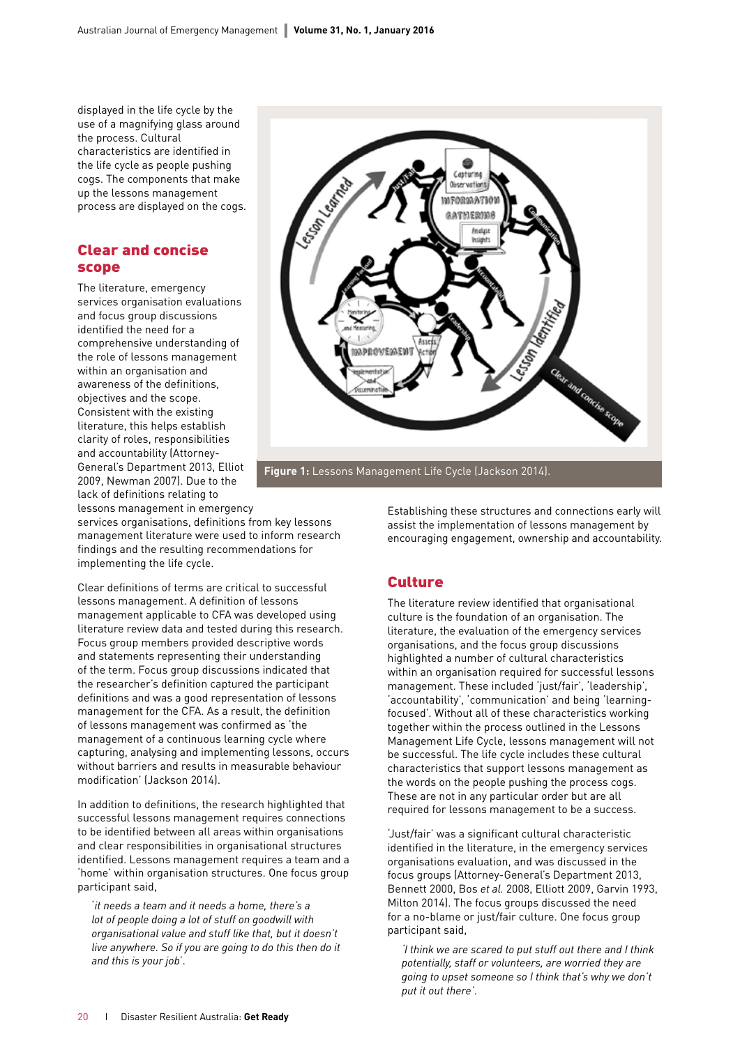displayed in the life cycle by the use of a magnifying glass around the process. Cultural characteristics are identified in the life cycle as people pushing cogs. The components that make up the lessons management process are displayed on the cogs.

#### Clear and concise scope

The literature, emergency services organisation evaluations and focus group discussions identified the need for a comprehensive understanding of the role of lessons management within an organisation and awareness of the definitions, objectives and the scope. Consistent with the existing literature, this helps establish clarity of roles, responsibilities and accountability (Attorney-General's Department 2013, Elliot 2009, Newman 2007). Due to the lack of definitions relating to lessons management in emergency

services organisations, definitions from key lessons management literature were used to inform research findings and the resulting recommendations for implementing the life cycle.

Clear definitions of terms are critical to successful lessons management. A definition of lessons management applicable to CFA was developed using literature review data and tested during this research. Focus group members provided descriptive words and statements representing their understanding of the term. Focus group discussions indicated that the researcher's definition captured the participant definitions and was a good representation of lessons management for the CFA. As a result, the definition of lessons management was confirmed as 'the management of a continuous learning cycle where capturing, analysing and implementing lessons, occurs without barriers and results in measurable behaviour modification' (Jackson 2014).

In addition to definitions, the research highlighted that successful lessons management requires connections to be identified between all areas within organisations and clear responsibilities in organisational structures identified. Lessons management requires a team and a 'home' within organisation structures. One focus group participant said,

'*it needs a team and it needs a home, there's a lot of people doing a lot of stuff on goodwill with organisational value and stuff like that, but it doesn't live anywhere. So if you are going to do this then do it and this is your job*'.



**Figure 1:** Lessons Management Life Cycle (Jackson 2014). **Figure 1:** Lessons Management Life Cycle (Jackson 2014).

Establishing these structures and connections early will assist the implementation of lessons management by encouraging engagement, ownership and accountability.

#### **Culture**

The literature review identified that organisational culture is the foundation of an organisation. The literature, the evaluation of the emergency services organisations, and the focus group discussions highlighted a number of cultural characteristics within an organisation required for successful lessons management. These included 'just/fair', 'leadership', 'accountability', 'communication' and being 'learningfocused'. Without all of these characteristics working together within the process outlined in the Lessons Management Life Cycle, lessons management will not be successful. The life cycle includes these cultural characteristics that support lessons management as the words on the people pushing the process cogs. These are not in any particular order but are all required for lessons management to be a success.

'Just/fair' was a significant cultural characteristic identified in the literature, in the emergency services organisations evaluation, and was discussed in the focus groups (Attorney-General's Department 2013, Bennett 2000, Bos *et al.* 2008, Elliott 2009, Garvin 1993, Milton 2014). The focus groups discussed the need for a no-blame or just/fair culture. One focus group participant said,

*'I think we are scared to put stuff out there and I think potentially, staff or volunteers, are worried they are going to upset someone so I think that's why we don't put it out there'*.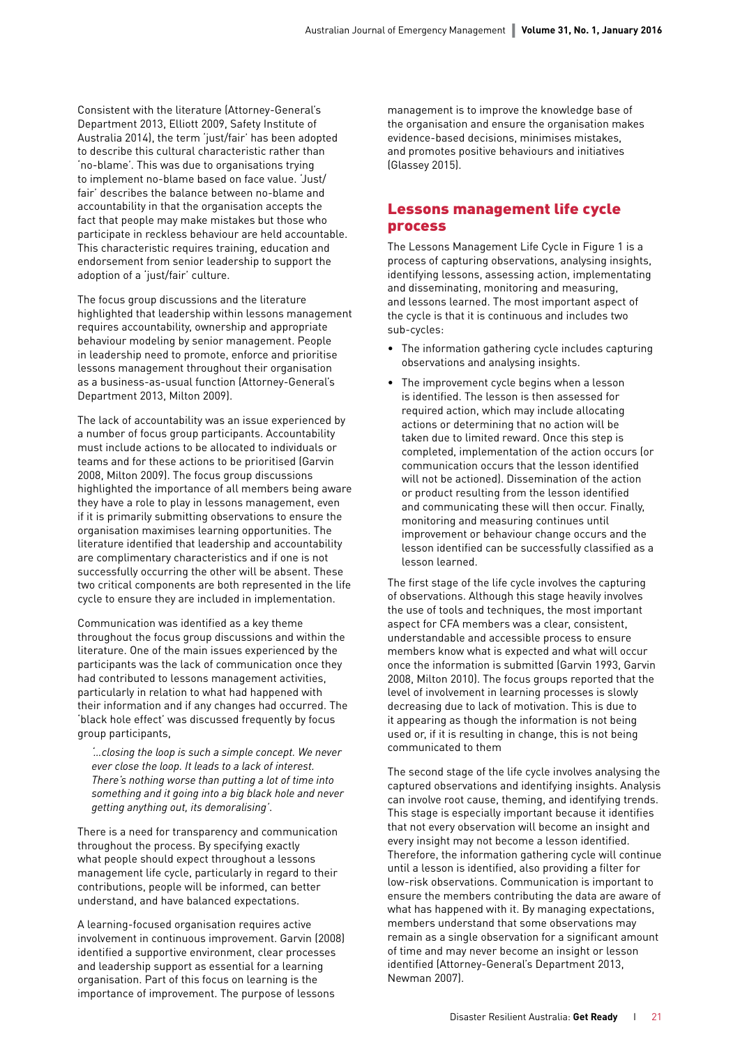Consistent with the literature (Attorney-General's Department 2013, Elliott 2009, Safety Institute of Australia 2014), the term 'just/fair' has been adopted to describe this cultural characteristic rather than 'no-blame'. This was due to organisations trying to implement no-blame based on face value. 'Just/ fair' describes the balance between no-blame and accountability in that the organisation accepts the fact that people may make mistakes but those who participate in reckless behaviour are held accountable. This characteristic requires training, education and endorsement from senior leadership to support the adoption of a 'just/fair' culture.

The focus group discussions and the literature highlighted that leadership within lessons management requires accountability, ownership and appropriate behaviour modeling by senior management. People in leadership need to promote, enforce and prioritise lessons management throughout their organisation as a business-as-usual function (Attorney-General's Department 2013, Milton 2009).

The lack of accountability was an issue experienced by a number of focus group participants. Accountability must include actions to be allocated to individuals or teams and for these actions to be prioritised (Garvin 2008, Milton 2009). The focus group discussions highlighted the importance of all members being aware they have a role to play in lessons management, even if it is primarily submitting observations to ensure the organisation maximises learning opportunities. The literature identified that leadership and accountability are complimentary characteristics and if one is not successfully occurring the other will be absent. These two critical components are both represented in the life cycle to ensure they are included in implementation.

Communication was identified as a key theme throughout the focus group discussions and within the literature. One of the main issues experienced by the participants was the lack of communication once they had contributed to lessons management activities, particularly in relation to what had happened with their information and if any changes had occurred. The 'black hole effect' was discussed frequently by focus group participants,

*'…closing the loop is such a simple concept. We never ever close the loop. It leads to a lack of interest. There's nothing worse than putting a lot of time into something and it going into a big black hole and never getting anything out, its demoralising'*.

There is a need for transparency and communication throughout the process. By specifying exactly what people should expect throughout a lessons management life cycle, particularly in regard to their contributions, people will be informed, can better understand, and have balanced expectations.

A learning-focused organisation requires active involvement in continuous improvement. Garvin (2008) identified a supportive environment, clear processes and leadership support as essential for a learning organisation. Part of this focus on learning is the importance of improvement. The purpose of lessons

management is to improve the knowledge base of the organisation and ensure the organisation makes evidence-based decisions, minimises mistakes, and promotes positive behaviours and initiatives (Glassey 2015).

#### Lessons management life cycle process

The Lessons Management Life Cycle in Figure 1 is a process of capturing observations, analysing insights, identifying lessons, assessing action, implementating and disseminating, monitoring and measuring, and lessons learned. The most important aspect of the cycle is that it is continuous and includes two sub-cycles:

- The information gathering cycle includes capturing observations and analysing insights.
- The improvement cycle begins when a lesson is identified. The lesson is then assessed for required action, which may include allocating actions or determining that no action will be taken due to limited reward. Once this step is completed, implementation of the action occurs (or communication occurs that the lesson identified will not be actioned). Dissemination of the action or product resulting from the lesson identified and communicating these will then occur. Finally, monitoring and measuring continues until improvement or behaviour change occurs and the lesson identified can be successfully classified as a lesson learned.

The first stage of the life cycle involves the capturing of observations. Although this stage heavily involves the use of tools and techniques, the most important aspect for CFA members was a clear, consistent, understandable and accessible process to ensure members know what is expected and what will occur once the information is submitted (Garvin 1993, Garvin 2008, Milton 2010). The focus groups reported that the level of involvement in learning processes is slowly decreasing due to lack of motivation. This is due to it appearing as though the information is not being used or, if it is resulting in change, this is not being communicated to them

The second stage of the life cycle involves analysing the captured observations and identifying insights. Analysis can involve root cause, theming, and identifying trends. This stage is especially important because it identifies that not every observation will become an insight and every insight may not become a lesson identified. Therefore, the information gathering cycle will continue until a lesson is identified, also providing a filter for low-risk observations. Communication is important to ensure the members contributing the data are aware of what has happened with it. By managing expectations, members understand that some observations may remain as a single observation for a significant amount of time and may never become an insight or lesson identified (Attorney-General's Department 2013, Newman 2007).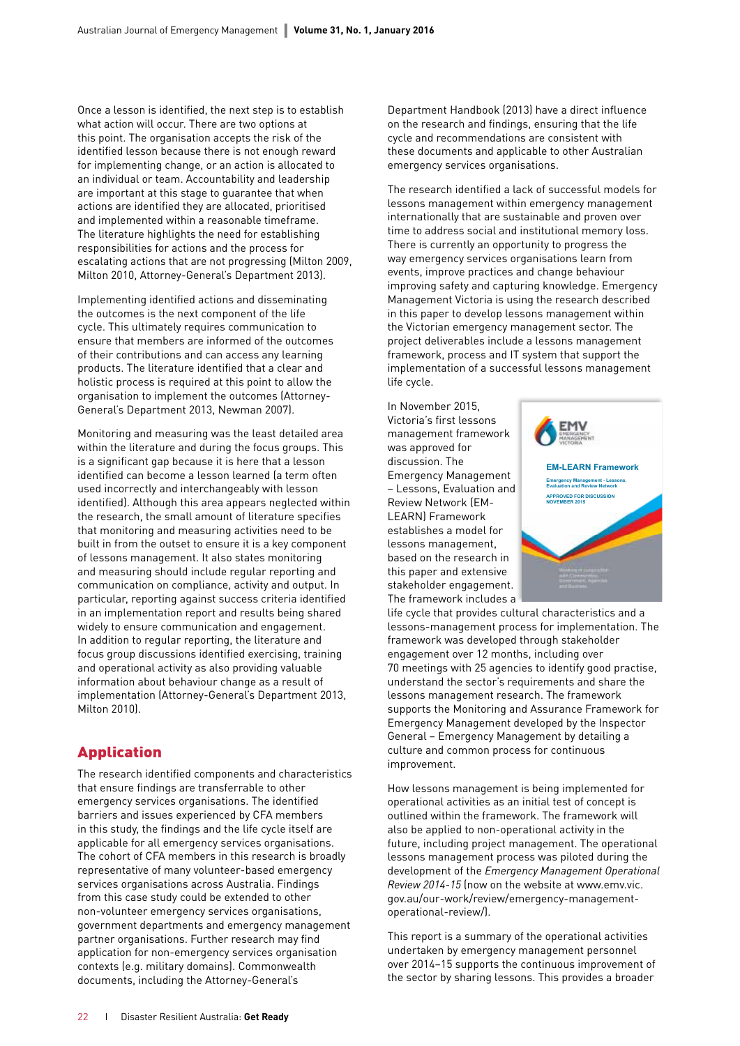Once a lesson is identified, the next step is to establish what action will occur. There are two options at this point. The organisation accepts the risk of the identified lesson because there is not enough reward for implementing change, or an action is allocated to an individual or team. Accountability and leadership are important at this stage to guarantee that when actions are identified they are allocated, prioritised and implemented within a reasonable timeframe. The literature highlights the need for establishing responsibilities for actions and the process for escalating actions that are not progressing (Milton 2009, Milton 2010, Attorney-General's Department 2013).

Implementing identified actions and disseminating the outcomes is the next component of the life cycle. This ultimately requires communication to ensure that members are informed of the outcomes of their contributions and can access any learning products. The literature identified that a clear and holistic process is required at this point to allow the organisation to implement the outcomes (Attorney-General's Department 2013, Newman 2007).

Monitoring and measuring was the least detailed area within the literature and during the focus groups. This is a significant gap because it is here that a lesson identified can become a lesson learned (a term often used incorrectly and interchangeably with lesson identified). Although this area appears neglected within the research, the small amount of literature specifies that monitoring and measuring activities need to be built in from the outset to ensure it is a key component of lessons management. It also states monitoring and measuring should include regular reporting and communication on compliance, activity and output. In particular, reporting against success criteria identified in an implementation report and results being shared widely to ensure communication and engagement. In addition to regular reporting, the literature and focus group discussions identified exercising, training and operational activity as also providing valuable information about behaviour change as a result of implementation (Attorney-General's Department 2013, Milton 2010).

## Application

The research identified components and characteristics that ensure findings are transferrable to other emergency services organisations. The identified barriers and issues experienced by CFA members in this study, the findings and the life cycle itself are applicable for all emergency services organisations. The cohort of CFA members in this research is broadly representative of many volunteer-based emergency services organisations across Australia. Findings from this case study could be extended to other non-volunteer emergency services organisations, government departments and emergency management partner organisations. Further research may find application for non-emergency services organisation contexts (e.g. military domains). Commonwealth documents, including the Attorney-General's

Department Handbook (2013) have a direct influence on the research and findings, ensuring that the life cycle and recommendations are consistent with these documents and applicable to other Australian emergency services organisations.

The research identified a lack of successful models for lessons management within emergency management internationally that are sustainable and proven over time to address social and institutional memory loss. There is currently an opportunity to progress the way emergency services organisations learn from events, improve practices and change behaviour improving safety and capturing knowledge. Emergency Management Victoria is using the research described in this paper to develop lessons management within the Victorian emergency management sector. The project deliverables include a lessons management framework, process and IT system that support the implementation of a successful lessons management life cycle.

In November 2015, Victoria's first lessons management framework was approved for discussion. The Emergency Management – Lessons, Evaluation and Review Network (EM-LEARN) Framework establishes a model for lessons management, based on the research in this paper and extensive stakeholder engagement. The framework includes a

**EM-LEARN Framework Emergency Management - Lessons, Evaluation and Review Network APPROVED FOR DISCUSSION NOVEMBER 2015** 

life cycle that provides cultural characteristics and a lessons-management process for implementation. The framework was developed through stakeholder engagement over 12 months, including over 70 meetings with 25 agencies to identify good practise, understand the sector's requirements and share the lessons management research. The framework supports the Monitoring and Assurance Framework for Emergency Management developed by the Inspector General – Emergency Management by detailing a culture and common process for continuous improvement.

How lessons management is being implemented for operational activities as an initial test of concept is outlined within the framework. The framework will also be applied to non-operational activity in the future, including project management. The operational lessons management process was piloted during the development of the *Emergency Management Operational Review 2014-15* (now on the website at [www.emv.vic.](http://www.emv.vic.gov.au/our-work/review/emergency-management-operational-review/) [gov.au/our-work/review/emergency-management](http://www.emv.vic.gov.au/our-work/review/emergency-management-operational-review/)[operational-review/\)](http://www.emv.vic.gov.au/our-work/review/emergency-management-operational-review/).

This report is a summary of the operational activities undertaken by emergency management personnel over 2014–15 supports the continuous improvement of the sector by sharing lessons. This provides a broader